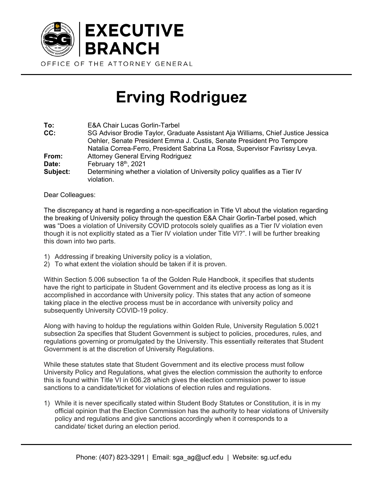

## **Erving Rodriguez**

| To:      | <b>E&amp;A Chair Lucas Gorlin-Tarbel</b>                                                  |
|----------|-------------------------------------------------------------------------------------------|
| CC:      | SG Advisor Brodie Taylor, Graduate Assistant Aja Williams, Chief Justice Jessica          |
|          | Oehler, Senate President Emma J. Custis, Senate President Pro Tempore                     |
|          | Natalia Correa-Ferro, President Sabrina La Rosa, Supervisor Favrissy Levya.               |
| From:    | <b>Attorney General Erving Rodriguez</b>                                                  |
| Date:    | February 18th, 2021                                                                       |
| Subject: | Determining whether a violation of University policy qualifies as a Tier IV<br>violation. |

Dear Colleagues:

The discrepancy at hand is regarding a non-specification in Title VI about the violation regarding the breaking of University policy through the question E&A Chair Gorlin-Tarbel posed, which was "Does a violation of University COVID protocols solely qualifies as a Tier IV violation even though it is not explicitly stated as a Tier IV violation under Title VI?". I will be further breaking this down into two parts.

- 1) Addressing if breaking University policy is a violation,
- 2) To what extent the violation should be taken if it is proven.

Within Section 5.006 subsection 1a of the Golden Rule Handbook, it specifies that students have the right to participate in Student Government and its elective process as long as it is accomplished in accordance with University policy. This states that any action of someone taking place in the elective process must be in accordance with university policy and subsequently University COVID-19 policy.

Along with having to holdup the regulations within Golden Rule, University Regulation 5.0021 subsection 2a specifies that Student Government is subject to policies, procedures, rules, and regulations governing or promulgated by the University. This essentially reiterates that Student Government is at the discretion of University Regulations.

While these statutes state that Student Government and its elective process must follow University Policy and Regulations, what gives the election commission the authority to enforce this is found within Title VI in 606.28 which gives the election commission power to issue sanctions to a candidate/ticket for violations of election rules and regulations.

1) While it is never specifically stated within Student Body Statutes or Constitution, it is in my official opinion that the Election Commission has the authority to hear violations of University policy and regulations and give sanctions accordingly when it corresponds to a candidate/ ticket during an election period.